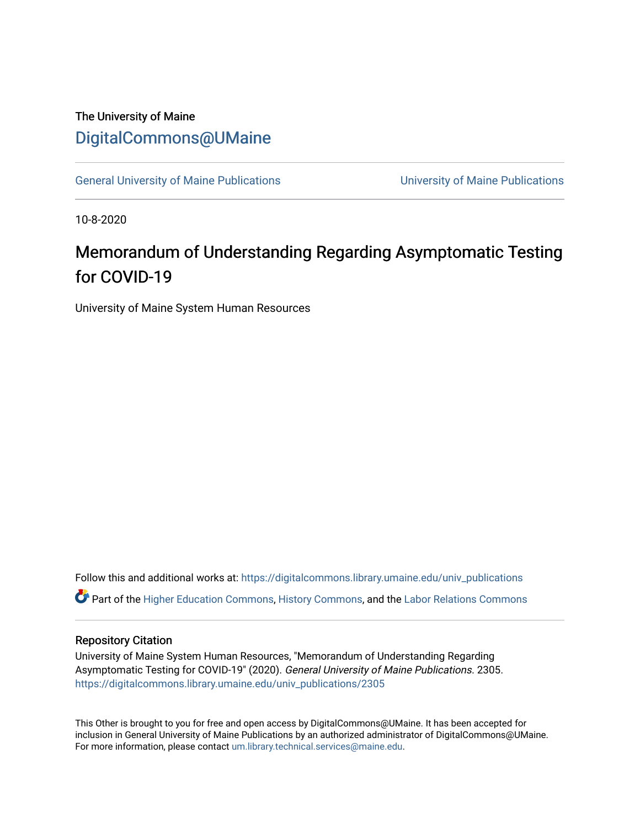## The University of Maine [DigitalCommons@UMaine](https://digitalcommons.library.umaine.edu/)

[General University of Maine Publications](https://digitalcommons.library.umaine.edu/univ_publications) [University of Maine Publications](https://digitalcommons.library.umaine.edu/umaine_publications) 

10-8-2020

## Memorandum of Understanding Regarding Asymptomatic Testing for COVID-19

University of Maine System Human Resources

Follow this and additional works at: [https://digitalcommons.library.umaine.edu/univ\\_publications](https://digitalcommons.library.umaine.edu/univ_publications?utm_source=digitalcommons.library.umaine.edu%2Funiv_publications%2F2305&utm_medium=PDF&utm_campaign=PDFCoverPages)  Part of the [Higher Education Commons,](http://network.bepress.com/hgg/discipline/1245?utm_source=digitalcommons.library.umaine.edu%2Funiv_publications%2F2305&utm_medium=PDF&utm_campaign=PDFCoverPages) [History Commons,](http://network.bepress.com/hgg/discipline/489?utm_source=digitalcommons.library.umaine.edu%2Funiv_publications%2F2305&utm_medium=PDF&utm_campaign=PDFCoverPages) and the [Labor Relations Commons](http://network.bepress.com/hgg/discipline/635?utm_source=digitalcommons.library.umaine.edu%2Funiv_publications%2F2305&utm_medium=PDF&utm_campaign=PDFCoverPages) 

## Repository Citation

University of Maine System Human Resources, "Memorandum of Understanding Regarding Asymptomatic Testing for COVID-19" (2020). General University of Maine Publications. 2305. [https://digitalcommons.library.umaine.edu/univ\\_publications/2305](https://digitalcommons.library.umaine.edu/univ_publications/2305?utm_source=digitalcommons.library.umaine.edu%2Funiv_publications%2F2305&utm_medium=PDF&utm_campaign=PDFCoverPages)

This Other is brought to you for free and open access by DigitalCommons@UMaine. It has been accepted for inclusion in General University of Maine Publications by an authorized administrator of DigitalCommons@UMaine. For more information, please contact [um.library.technical.services@maine.edu](mailto:um.library.technical.services@maine.edu).